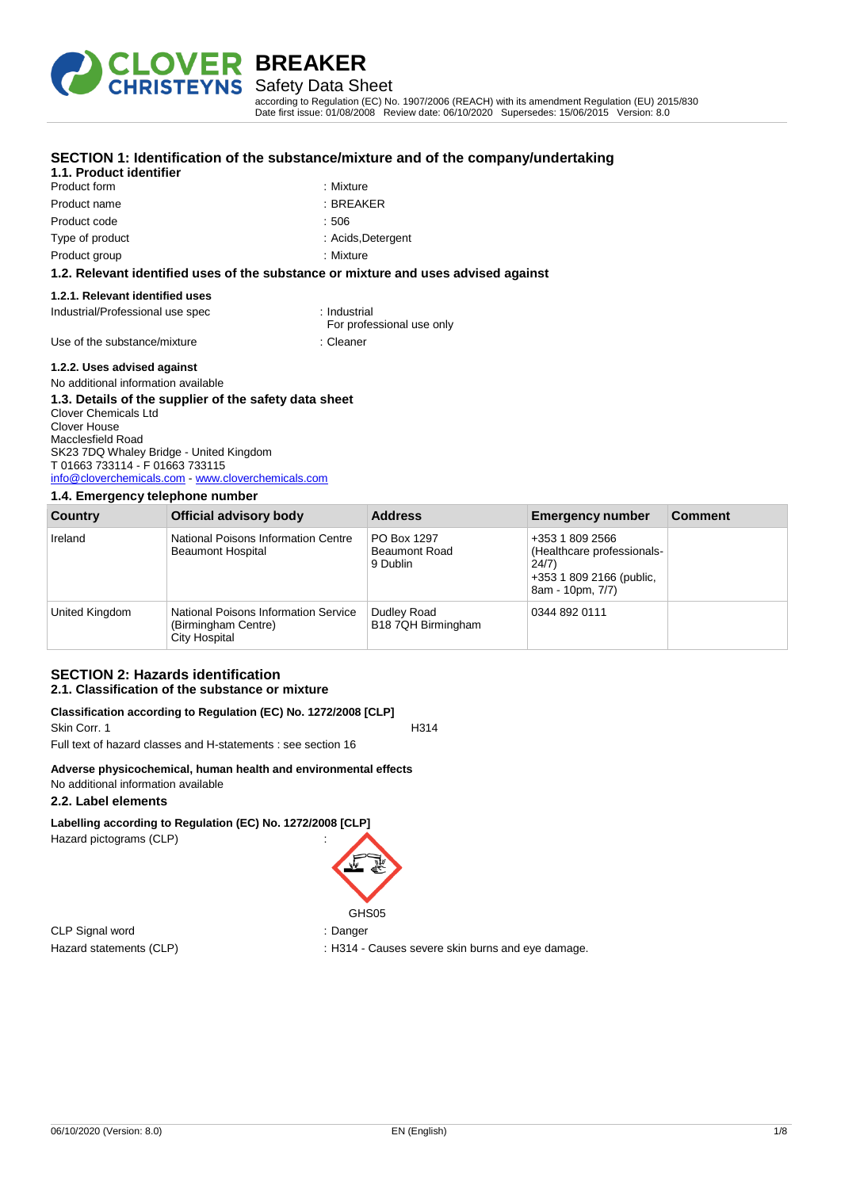

# Safety Data Sheet

**SECTION 1: Identification of the substance/mixture and of the company/undertaking**

according to Regulation (EC) No. 1907/2006 (REACH) with its amendment Regulation (EU) 2015/830 Date first issue: 01/08/2008 Review date: 06/10/2020 Supersedes: 15/06/2015 Version: 8.0

| 1.1. Product identifier                                                            |                                           |
|------------------------------------------------------------------------------------|-------------------------------------------|
| Product form                                                                       | : Mixture                                 |
| Product name                                                                       | : BREAKER                                 |
| Product code                                                                       | : 506                                     |
| Type of product                                                                    | : Acids, Detergent                        |
| : Mixture<br>Product group                                                         |                                           |
| 1.2. Relevant identified uses of the substance or mixture and uses advised against |                                           |
| 1.2.1. Relevant identified uses                                                    |                                           |
| Industrial/Professional use spec                                                   | : Industrial<br>For professional use only |
| Use of the substance/mixture                                                       | : Cleaner                                 |
|                                                                                    |                                           |

#### **1.2.2. Uses advised against**

#### No additional information available **1.3. Details of the supplier of the safety data sheet** Clover Chemicals Ltd Clover House Macclesfield Road SK23 7DQ Whaley Bridge - United Kingdom T 01663 733114 - F 01663 733115 [info@cloverchemicals.com](mailto:info@cloverchemicals.com) - <www.cloverchemicals.com>

#### **1.4. Emergency telephone number**

| Country        | Official advisory body                                                       | <b>Address</b>                                  | <b>Emergency number</b>                                                                                | <b>Comment</b> |
|----------------|------------------------------------------------------------------------------|-------------------------------------------------|--------------------------------------------------------------------------------------------------------|----------------|
| Ireland        | National Poisons Information Centre<br><b>Beaumont Hospital</b>              | PO Box 1297<br><b>Beaumont Road</b><br>9 Dublin | +353 1 809 2566<br>(Healthcare professionals-<br>24/7)<br>+353 1 809 2166 (public,<br>8am - 10pm, 7/7) |                |
| United Kingdom | National Poisons Information Service<br>(Birmingham Centre)<br>City Hospital | Dudley Road<br>B18 7QH Birmingham               | 0344 892 0111                                                                                          |                |

# **SECTION 2: Hazards identification 2.1. Classification of the substance or mixture**

#### **Classification according to Regulation (EC) No. 1272/2008 [CLP]** Skin Corr. 1 H314

Full text of hazard classes and H-statements : see section 16

### **Adverse physicochemical, human health and environmental effects**

#### No additional information available

# **2.2. Label elements**

**Labelling according to Regulation (EC) No. 1272/2008 [CLP]** Hazard pictograms (CLP) :

CLP Signal word : Danger

GHS<sub>05</sub>

Hazard statements (CLP) : H314 - Causes severe skin burns and eye damage.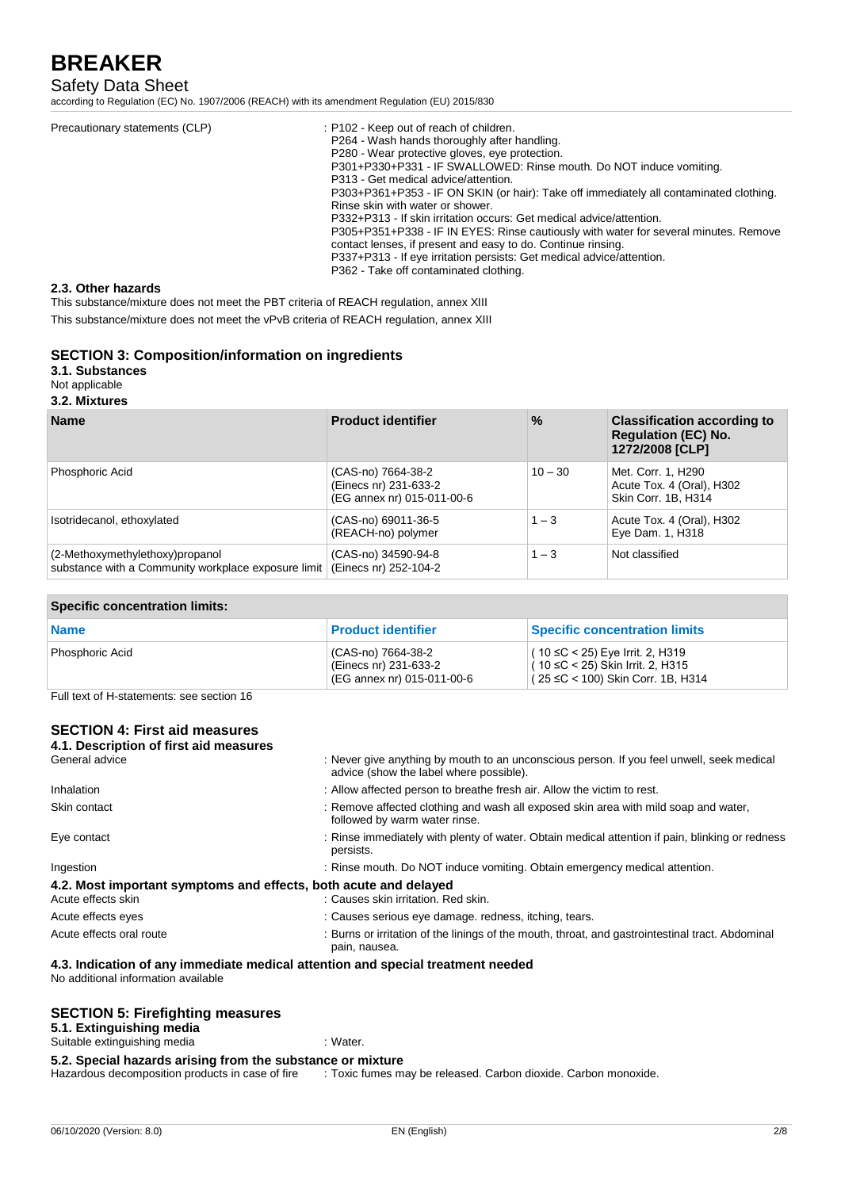# Safety Data Sheet

according to Regulation (EC) No. 1907/2006 (REACH) with its amendment Regulation (EU) 2015/830

| Precautionary statements (CLP) | : P102 - Keep out of reach of children.<br>P264 - Wash hands thoroughly after handling.<br>P280 - Wear protective gloves, eve protection.<br>P301+P330+P331 - IF SWALLOWED: Rinse mouth. Do NOT induce vomiting.<br>P313 - Get medical advice/attention.<br>P303+P361+P353 - IF ON SKIN (or hair): Take off immediately all contaminated clothing.<br>Rinse skin with water or shower.<br>P332+P313 - If skin irritation occurs: Get medical advice/attention.<br>P305+P351+P338 - IF IN EYES: Rinse cautiously with water for several minutes. Remove<br>contact lenses, if present and easy to do. Continue rinsing.<br>P337+P313 - If eye irritation persists: Get medical advice/attention.<br>P362 - Take off contaminated clothing. |
|--------------------------------|-------------------------------------------------------------------------------------------------------------------------------------------------------------------------------------------------------------------------------------------------------------------------------------------------------------------------------------------------------------------------------------------------------------------------------------------------------------------------------------------------------------------------------------------------------------------------------------------------------------------------------------------------------------------------------------------------------------------------------------------|
|--------------------------------|-------------------------------------------------------------------------------------------------------------------------------------------------------------------------------------------------------------------------------------------------------------------------------------------------------------------------------------------------------------------------------------------------------------------------------------------------------------------------------------------------------------------------------------------------------------------------------------------------------------------------------------------------------------------------------------------------------------------------------------------|

#### **2.3. Other hazards**

This substance/mixture does not meet the PBT criteria of REACH regulation, annex XIII

This substance/mixture does not meet the vPvB criteria of REACH regulation, annex XIII

## **SECTION 3: Composition/information on ingredients**

**3.1. Substances**

Not applicable

#### **3.2. Mixtures**

| <b>Name</b>                                                                            | <b>Product identifier</b>                                                 | $\%$      | <b>Classification according to</b><br><b>Regulation (EC) No.</b><br>1272/2008 [CLP] |
|----------------------------------------------------------------------------------------|---------------------------------------------------------------------------|-----------|-------------------------------------------------------------------------------------|
| Phosphoric Acid                                                                        | (CAS-no) 7664-38-2<br>(Einecs nr) 231-633-2<br>(EG annex nr) 015-011-00-6 | $10 - 30$ | Met. Corr. 1, H290<br>Acute Tox. 4 (Oral), H302<br>Skin Corr. 1B, H314              |
| Isotridecanol, ethoxylated                                                             | (CAS-no) 69011-36-5<br>(REACH-no) polymer                                 | $1 - 3$   | Acute Tox. 4 (Oral), H302<br>Eye Dam. 1, H318                                       |
| (2-Methoxymethylethoxy)propanol<br>substance with a Community workplace exposure limit | (CAS-no) 34590-94-8<br>(Einecs nr) 252-104-2                              | $1 - 3$   | Not classified                                                                      |

#### **Specific concentration limits:**

| <b>Name</b>     | <b>Product identifier</b>                                                 | <b>Specific concentration limits</b>                                                                           |
|-----------------|---------------------------------------------------------------------------|----------------------------------------------------------------------------------------------------------------|
| Phosphoric Acid | (CAS-no) 7664-38-2<br>(Einecs nr) 231-633-2<br>(EG annex nr) 015-011-00-6 | (10 ≤C < 25) Eye Irrit. 2, H319<br>( 10 ≤C < 25) Skin Irrit. 2, H315<br>( $25 ≤ C < 100$ ) Skin Corr. 1B, H314 |

Full text of H-statements: see section 16

# **SECTION 4: First aid measures**

| 4.1. Description of first aid measures                                                 |                                                                                                                                      |  |
|----------------------------------------------------------------------------------------|--------------------------------------------------------------------------------------------------------------------------------------|--|
| General advice                                                                         | : Never give anything by mouth to an unconscious person. If you feel unwell, seek medical<br>advice (show the label where possible). |  |
| Inhalation                                                                             | : Allow affected person to breathe fresh air. Allow the victim to rest.                                                              |  |
| Skin contact                                                                           | : Remove affected clothing and wash all exposed skin area with mild soap and water,<br>followed by warm water rinse.                 |  |
| Eye contact                                                                            | : Rinse immediately with plenty of water. Obtain medical attention if pain, blinking or redness<br>persists.                         |  |
| Ingestion                                                                              | : Rinse mouth. Do NOT induce vomiting. Obtain emergency medical attention.                                                           |  |
| 4.2. Most important symptoms and effects, both acute and delayed<br>Acute effects skin | : Causes skin irritation. Red skin.                                                                                                  |  |
| Acute effects eyes                                                                     | : Causes serious eye damage. redness, itching, tears.                                                                                |  |
| Acute effects oral route                                                               | : Burns or irritation of the linings of the mouth, throat, and gastrointestinal tract. Abdominal<br>pain, nausea.                    |  |

**4.3. Indication of any immediate medical attention and special treatment needed** No additional information available

# **SECTION 5: Firefighting measures**

#### **5.1. Extinguishing media** Suitable extinguishing media : Water.

**5.2. Special hazards arising from the substance or mixture**

: Toxic fumes may be released. Carbon dioxide. Carbon monoxide.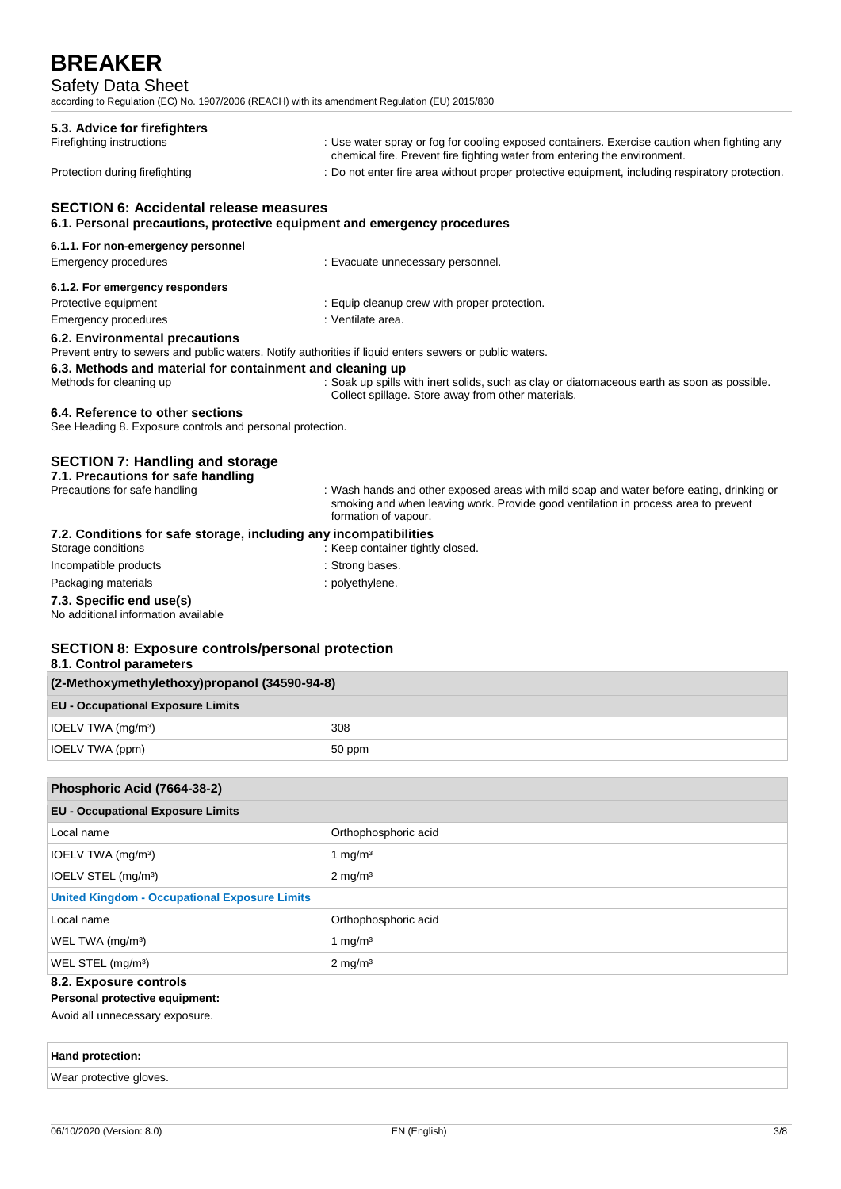# Safety Data Sheet

according to Regulation (EC) No. 1907/2006 (REACH) with its amendment Regulation (EU) 2015/830

| 5.3. Advice for firefighters<br>Firefighting instructions | : Use water spray or fog for cooling exposed containers. Exercise caution when fighting any<br>chemical fire. Prevent fire fighting water from entering the environment. |
|-----------------------------------------------------------|--------------------------------------------------------------------------------------------------------------------------------------------------------------------------|
| Protection during firefighting                            | : Do not enter fire area without proper protective equipment, including respiratory protection.                                                                          |
| <b>SECTION 6: Accidental release measures</b>             |                                                                                                                                                                          |
|                                                           | 6.1. Personal precautions, protective equipment and emergency procedures                                                                                                 |
| 6.1.1. For non-emergency personnel                        |                                                                                                                                                                          |
| Emergency procedures                                      | : Evacuate unnecessary personnel.                                                                                                                                        |
| 6.1.2. For emergency responders                           |                                                                                                                                                                          |

Emergency procedures in the state of the state of the Senate Senate area.

**6.2. Environmental precautions**

Prevent entry to sewers and public waters. Notify authorities if liquid enters sewers or public waters.

## **6.3. Methods and material for containment and cleaning up**

Methods for cleaning up : Soak up spills with inert solids, such as clay or diatomaceous earth as soon as possible. Collect spillage. Store away from other materials.

## **6.4. Reference to other sections**

See Heading 8. Exposure controls and personal protection.

# **SECTION 7: Handling and storage**

| 7.1. Precautions for safe handling                                |                                                                                                                                                                                                        |
|-------------------------------------------------------------------|--------------------------------------------------------------------------------------------------------------------------------------------------------------------------------------------------------|
| Precautions for safe handling                                     | : Wash hands and other exposed areas with mild soap and water before eating, drinking or<br>smoking and when leaving work. Provide good ventilation in process area to prevent<br>formation of vapour. |
| 7.2. Conditions for safe storage, including any incompatibilities |                                                                                                                                                                                                        |
| Storage conditions                                                | : Keep container tightly closed.                                                                                                                                                                       |
| Incompatible products                                             | : Strong bases.                                                                                                                                                                                        |
| Packaging materials                                               | : polyethylene.                                                                                                                                                                                        |
| 7.3. Specific end use(s)                                          |                                                                                                                                                                                                        |
| No additional information available                               |                                                                                                                                                                                                        |

# **SECTION 8: Exposure controls/personal protection 8.1. Control parameters**

| (2-Methoxymethylethoxy)propanol (34590-94-8) |  |  |
|----------------------------------------------|--|--|
| <b>EU - Occupational Exposure Limits</b>     |  |  |
| 308                                          |  |  |
| IOELV TWA (ppm)<br>50 ppm                    |  |  |
|                                              |  |  |

| Phosphoric Acid (7664-38-2)                          |                      |  |
|------------------------------------------------------|----------------------|--|
| <b>EU - Occupational Exposure Limits</b>             |                      |  |
| Local name                                           | Orthophosphoric acid |  |
| IOELV TWA (mg/m <sup>3</sup> )                       | 1 $mq/m3$            |  |
| IOELV STEL (mg/m <sup>3</sup> )                      | $2 \text{ mg/m}^3$   |  |
| <b>United Kingdom - Occupational Exposure Limits</b> |                      |  |
| Local name                                           | Orthophosphoric acid |  |
| WEL TWA (mg/m <sup>3</sup> )                         | 1 mg/m <sup>3</sup>  |  |
| WEL STEL (mg/m <sup>3</sup> )<br>$2 \text{ mg/m}^3$  |                      |  |
| 8.2. Exposure controls                               |                      |  |

#### **Personal protective equipment:**

Avoid all unnecessary exposure.

| Hand protection: |  |  |  |
|------------------|--|--|--|
|                  |  |  |  |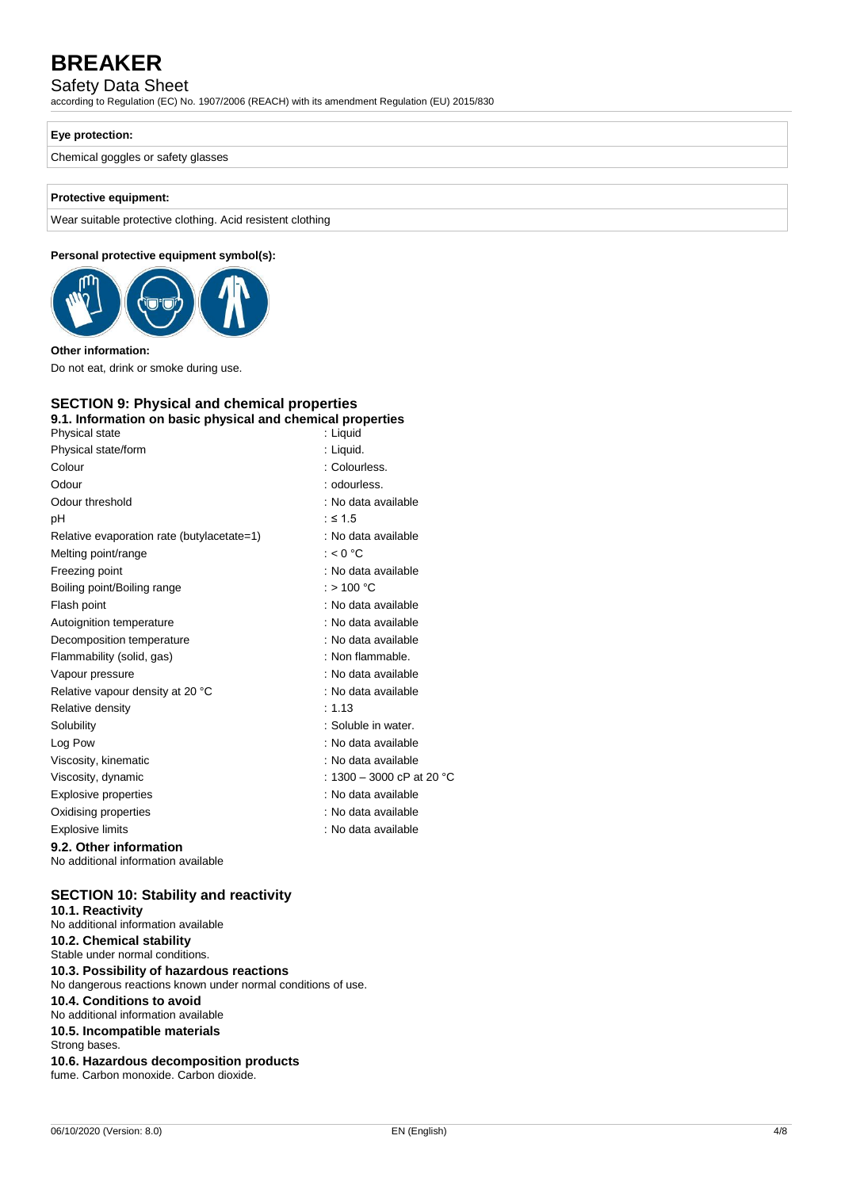# Safety Data Sheet

according to Regulation (EC) No. 1907/2006 (REACH) with its amendment Regulation (EU) 2015/830

# **Eye protection:**

Chemical goggles or safety glasses

# **Protective equipment:**

Wear suitable protective clothing. Acid resistent clothing

# **Personal protective equipment symbol(s):**



#### **Other information:**

Do not eat, drink or smoke during use.

# **SECTION 9: Physical and chemical properties**

| 9.1. Information on basic physical and chemical properties |                           |
|------------------------------------------------------------|---------------------------|
| Physical state                                             | : Liguid                  |
| Physical state/form                                        | : Liquid.                 |
| Colour                                                     | : Colourless.             |
| Odour                                                      | : odourless.              |
| Odour threshold                                            | : No data available       |
| рH                                                         | $:$ ≤ 1.5                 |
| Relative evaporation rate (butylacetate=1)                 | : No data available       |
| Melting point/range                                        | : $< 0$ °C                |
| Freezing point                                             | : No data available       |
| Boiling point/Boiling range                                | : > 100 °C                |
| Flash point                                                | : No data available       |
| Autoignition temperature                                   | : No data available       |
| Decomposition temperature                                  | : No data available       |
| Flammability (solid, gas)                                  | : Non flammable.          |
| Vapour pressure                                            | : No data available       |
| Relative vapour density at 20 °C                           | : No data available       |
| Relative density                                           | : 1.13                    |
| Solubility                                                 | : Soluble in water.       |
| Log Pow                                                    | : No data available       |
| Viscosity, kinematic                                       | : No data available       |
| Viscosity, dynamic                                         | : 1300 – 3000 cP at 20 °C |
| <b>Explosive properties</b>                                | : No data available       |
| Oxidising properties                                       | : No data available       |
| <b>Explosive limits</b>                                    | : No data available       |
| 9.2. Other information                                     |                           |

No additional information available

## **SECTION 10: Stability and reactivity**

| 10.1. Reactivity<br>No additional information available                                                  |
|----------------------------------------------------------------------------------------------------------|
| 10.2. Chemical stability<br>Stable under normal conditions.                                              |
| 10.3. Possibility of hazardous reactions<br>No dangerous reactions known under normal conditions of use. |
| 10.4. Conditions to avoid<br>No additional information available                                         |
| 10.5. Incompatible materials<br>Strong bases.                                                            |
| 10.6. Hazardous decomposition products<br>fume. Carbon monoxide. Carbon dioxide.                         |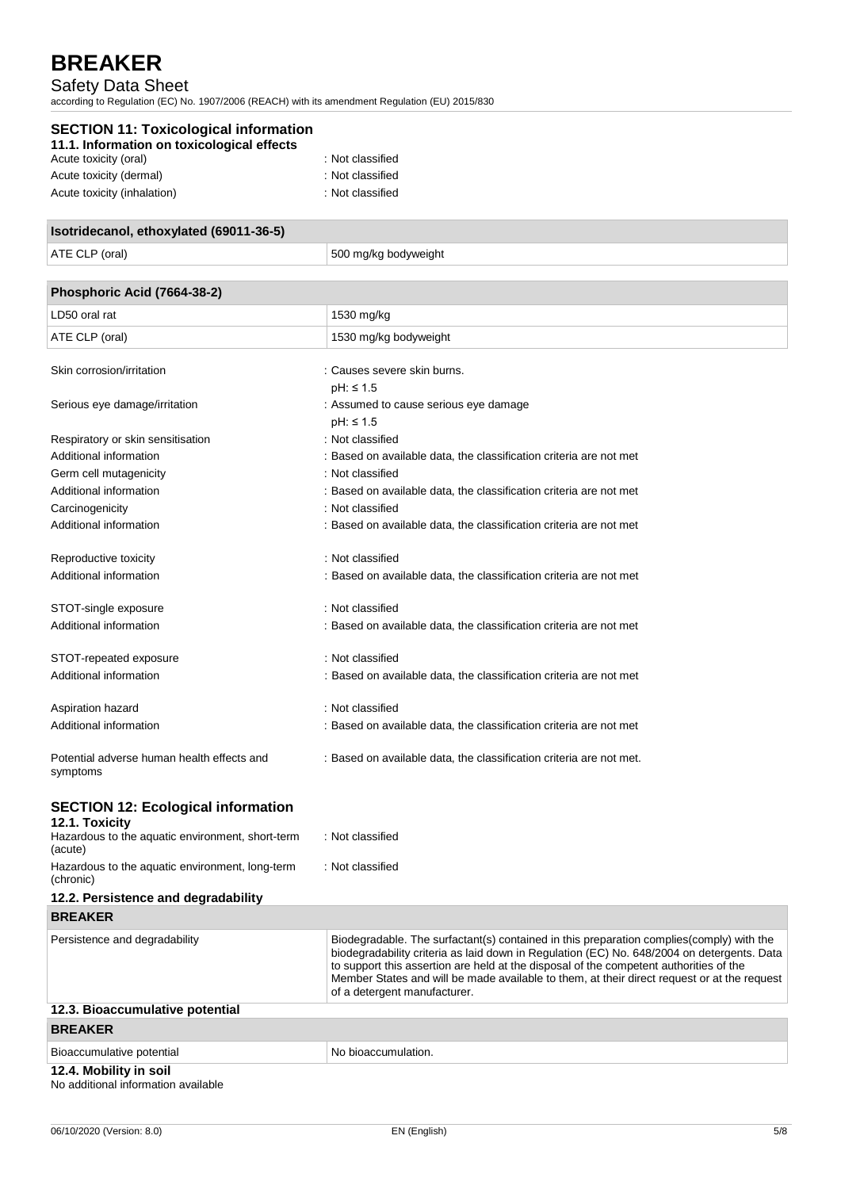# Safety Data Sheet

according to Regulation (EC) No. 1907/2006 (REACH) with its amendment Regulation (EU) 2015/830

| <b>SECTION 11: Toxicological information</b><br>11.1. Information on toxicological effects |  |
|--------------------------------------------------------------------------------------------|--|
| : Not classified<br>Acute toxicity (oral)                                                  |  |
| : Not classified<br>Acute toxicity (dermal)                                                |  |
| : Not classified<br>Acute toxicity (inhalation)                                            |  |

| Isotridecanol, ethoxylated (69011-36-5) |                      |
|-----------------------------------------|----------------------|
| ATE CLP (oral)                          | 500 mg/kg bodyweight |
|                                         |                      |
| Phosphoric Acid (7664-38-2)             |                      |

| LD50 oral rat                                          | 1530 mg/kg                                                          |
|--------------------------------------------------------|---------------------------------------------------------------------|
| ATE CLP (oral)                                         | 1530 mg/kg bodyweight                                               |
|                                                        |                                                                     |
| Skin corrosion/irritation                              | : Causes severe skin burns.                                         |
|                                                        | $pH: \leq 1.5$                                                      |
| Serious eye damage/irritation                          | : Assumed to cause serious eye damage                               |
|                                                        | $pH: \leq 1.5$                                                      |
| Respiratory or skin sensitisation                      | : Not classified                                                    |
| Additional information                                 | : Based on available data, the classification criteria are not met  |
| Germ cell mutagenicity                                 | : Not classified                                                    |
| Additional information                                 | : Based on available data, the classification criteria are not met  |
| Carcinogenicity                                        | : Not classified                                                    |
| Additional information                                 | : Based on available data, the classification criteria are not met  |
| Reproductive toxicity                                  | : Not classified                                                    |
| Additional information                                 | : Based on available data, the classification criteria are not met  |
| STOT-single exposure                                   | : Not classified                                                    |
| Additional information                                 | : Based on available data, the classification criteria are not met  |
| STOT-repeated exposure                                 | : Not classified                                                    |
| Additional information                                 | : Based on available data, the classification criteria are not met  |
| Aspiration hazard                                      | : Not classified                                                    |
| Additional information                                 | : Based on available data, the classification criteria are not met  |
| Potential adverse human health effects and<br>symptoms | : Based on available data, the classification criteria are not met. |
| <b>SECTION 12: Ecological information</b>              |                                                                     |
| 12.1. Toxicity                                         |                                                                     |
| Hazardous to the aquatic environment, short-term       | : Not classified                                                    |

| Hazardous to the aquatic environment, short-term<br>(acute)   | : Not classified                                                                                                                                                                                                                                                                                                                                                                                                 |
|---------------------------------------------------------------|------------------------------------------------------------------------------------------------------------------------------------------------------------------------------------------------------------------------------------------------------------------------------------------------------------------------------------------------------------------------------------------------------------------|
| Hazardous to the aquatic environment, long-term<br>(chronic)  | : Not classified                                                                                                                                                                                                                                                                                                                                                                                                 |
| 12.2. Persistence and degradability                           |                                                                                                                                                                                                                                                                                                                                                                                                                  |
| <b>BREAKER</b>                                                |                                                                                                                                                                                                                                                                                                                                                                                                                  |
| Persistence and degradability                                 | Biodegradable. The surfactant(s) contained in this preparation complies (comply) with the<br>biodegradability criteria as laid down in Regulation (EC) No. 648/2004 on detergents. Data<br>to support this assertion are held at the disposal of the competent authorities of the<br>Member States and will be made available to them, at their direct request or at the request<br>of a detergent manufacturer. |
| 12.3. Bioaccumulative potential                               |                                                                                                                                                                                                                                                                                                                                                                                                                  |
| <b>BREAKER</b>                                                |                                                                                                                                                                                                                                                                                                                                                                                                                  |
| Bioaccumulative potential                                     | No bioaccumulation.                                                                                                                                                                                                                                                                                                                                                                                              |
| 12.4. Mobility in soil<br>No odditional information ovailable |                                                                                                                                                                                                                                                                                                                                                                                                                  |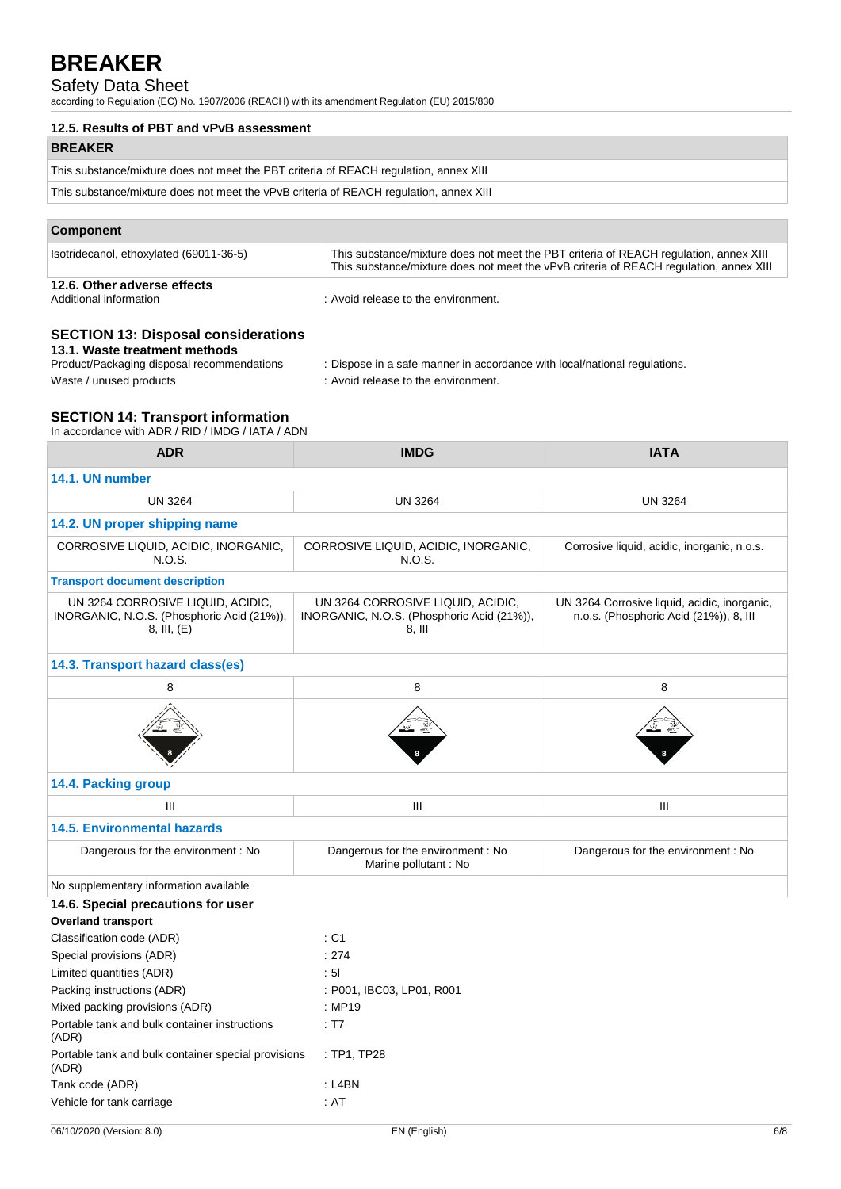# Safety Data Sheet

according to Regulation (EC) No. 1907/2006 (REACH) with its amendment Regulation (EU) 2015/830

| 12.5. Results of PBT and vPvB assessment                                               |
|----------------------------------------------------------------------------------------|
| <b>BREAKER</b>                                                                         |
| This substance/mixture does not meet the PBT criteria of REACH regulation, annex XIII  |
| This substance/mixture does not meet the vPvB criteria of REACH regulation, annex XIII |

# **Component**

| Isotridecanol, ethoxylated (69011-36-5) | This substance/mixture does not meet the PBT criteria of REACH regulation, annex XIII<br>This substance/mixture does not meet the vPvB criteria of REACH regulation, annex XIII |
|-----------------------------------------|---------------------------------------------------------------------------------------------------------------------------------------------------------------------------------|
| 12.6. Other adverse effects             |                                                                                                                                                                                 |

Additional information : Avoid release to the environment.

# **SECTION 13: Disposal considerations**

**13.1. Waste treatment methods**

: Dispose in a safe manner in accordance with local/national regulations.

Waste / unused products in the environment.

# **SECTION 14: Transport information**

In accordance with ADR / RID / IMDG / IATA / ADN

| <b>ADR</b>                                                                                     | <b>IMDG</b>                                                                               | <b>IATA</b>                                                                            |
|------------------------------------------------------------------------------------------------|-------------------------------------------------------------------------------------------|----------------------------------------------------------------------------------------|
| 14.1. UN number                                                                                |                                                                                           |                                                                                        |
| <b>UN 3264</b>                                                                                 | <b>UN 3264</b>                                                                            | <b>UN 3264</b>                                                                         |
| 14.2. UN proper shipping name                                                                  |                                                                                           |                                                                                        |
| CORROSIVE LIQUID, ACIDIC, INORGANIC,<br>N.O.S.                                                 | CORROSIVE LIQUID, ACIDIC, INORGANIC,<br>N.O.S.                                            | Corrosive liquid, acidic, inorganic, n.o.s.                                            |
| <b>Transport document description</b>                                                          |                                                                                           |                                                                                        |
| UN 3264 CORROSIVE LIQUID, ACIDIC,<br>INORGANIC, N.O.S. (Phosphoric Acid (21%)),<br>8, III, (E) | UN 3264 CORROSIVE LIQUID, ACIDIC,<br>INORGANIC, N.O.S. (Phosphoric Acid (21%)),<br>8, III | UN 3264 Corrosive liquid, acidic, inorganic,<br>n.o.s. (Phosphoric Acid (21%)), 8, III |
| 14.3. Transport hazard class(es)                                                               |                                                                                           |                                                                                        |
| 8                                                                                              | 8                                                                                         | 8                                                                                      |
|                                                                                                |                                                                                           |                                                                                        |
| 14.4. Packing group                                                                            |                                                                                           |                                                                                        |
| Ш                                                                                              | Ш                                                                                         | Ш                                                                                      |
| <b>14.5. Environmental hazards</b>                                                             |                                                                                           |                                                                                        |
| Dangerous for the environment: No                                                              | Dangerous for the environment: No<br>Marine pollutant : No                                | Dangerous for the environment: No                                                      |
| No supplementary information available                                                         |                                                                                           |                                                                                        |
| 14.6. Special precautions for user<br><b>Overland transport</b>                                |                                                                                           |                                                                                        |
| Classification code (ADR)                                                                      | : C1                                                                                      |                                                                                        |
| Special provisions (ADR)                                                                       | : 274                                                                                     |                                                                                        |
| Limited quantities (ADR)                                                                       | : 51                                                                                      |                                                                                        |
| Packing instructions (ADR)                                                                     | : P001, IBC03, LP01, R001                                                                 |                                                                                        |
| Mixed packing provisions (ADR)                                                                 | : MP19                                                                                    |                                                                                        |
| Portable tank and bulk container instructions<br>(ADR)                                         | : T7                                                                                      |                                                                                        |
| Portable tank and bulk container special provisions<br>(ADR)                                   | : TP1, TP28                                                                               |                                                                                        |
| Tank code (ADR)                                                                                | $:$ L4BN                                                                                  |                                                                                        |
| Vehicle for tank carriage                                                                      | : AT                                                                                      |                                                                                        |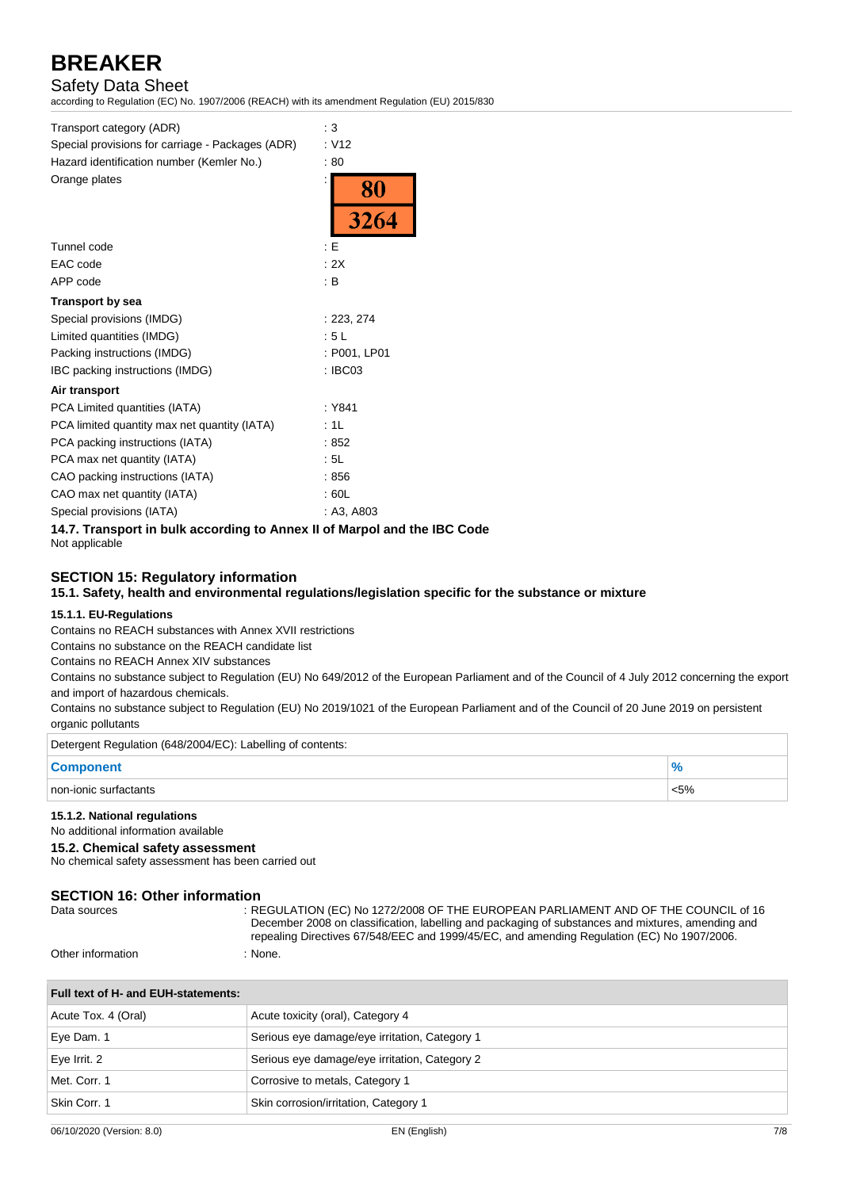Safety Data Sheet

according to Regulation (EC) No. 1907/2006 (REACH) with its amendment Regulation (EU) 2015/830

| Transport category (ADR)                                                 | $\therefore$ 3    |
|--------------------------------------------------------------------------|-------------------|
| Special provisions for carriage - Packages (ADR)                         | : V12             |
| Hazard identification number (Kemler No.)                                | :80               |
| Orange plates                                                            | <b>80</b><br>3264 |
| Tunnel code                                                              | : E               |
| EAC code                                                                 | : 2X              |
| APP code                                                                 | : B               |
| <b>Transport by sea</b>                                                  |                   |
| Special provisions (IMDG)                                                | : 223, 274        |
| Limited quantities (IMDG)                                                | : 5L              |
| Packing instructions (IMDG)                                              | : P001, LP01      |
| IBC packing instructions (IMDG)                                          | $:$ IBC03         |
| Air transport                                                            |                   |
| PCA Limited quantities (IATA)                                            | : Y841            |
| PCA limited quantity max net quantity (IATA)                             | :1L               |
| PCA packing instructions (IATA)                                          | :852              |
| PCA max net quantity (IATA)                                              | : 5L              |
| CAO packing instructions (IATA)                                          | :856              |
| CAO max net quantity (IATA)                                              | : 60L             |
| Special provisions (IATA)                                                | : A3, A803        |
| 14.7. Transport in bulk according to Annex II of Marpol and the IBC Code |                   |

Not applicable

# **SECTION 15: Regulatory information**

**15.1. Safety, health and environmental regulations/legislation specific for the substance or mixture**

## **15.1.1. EU-Regulations**

Contains no REACH substances with Annex XVII restrictions

Contains no substance on the REACH candidate list

Contains no REACH Annex XIV substances

Contains no substance subject to Regulation (EU) No 649/2012 of the European Parliament and of the Council of 4 July 2012 concerning the export and import of hazardous chemicals.

Contains no substance subject to Regulation (EU) No 2019/1021 of the European Parliament and of the Council of 20 June 2019 on persistent organic pollutants

| Detergent Regulation (648/2004/EC): Labelling of contents: |         |
|------------------------------------------------------------|---------|
| <b>Component</b>                                           |         |
| non-ionic surfactants                                      | $< 5\%$ |

#### **15.1.2. National regulations**

No additional information available

#### **15.2. Chemical safety assessment**

No chemical safety assessment has been carried out

# **SECTION 16: Other information**

Data sources : REGULATION (EC) No 1272/2008 OF THE EUROPEAN PARLIAMENT AND OF THE COUNCIL of 16 December 2008 on classification, labelling and packaging of substances and mixtures, amending and repealing Directives 67/548/EEC and 1999/45/EC, and amending Regulation (EC) No 1907/2006.

Other information : None.

| Full text of H- and EUH-statements: |                                               |
|-------------------------------------|-----------------------------------------------|
| Acute Tox. 4 (Oral)                 | Acute toxicity (oral), Category 4             |
| Eye Dam. 1                          | Serious eye damage/eye irritation, Category 1 |
| Eye Irrit. 2                        | Serious eye damage/eye irritation, Category 2 |
| Met. Corr. 1                        | Corrosive to metals, Category 1               |
| Skin Corr. 1                        | Skin corrosion/irritation, Category 1         |